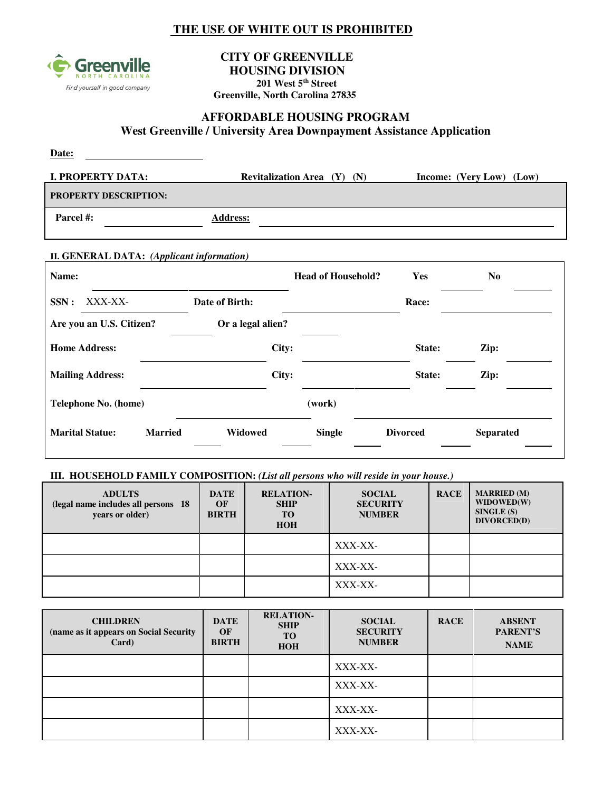## **THE USE OF WHITE OUT IS PROHIBITED**



#### **CITY OF GREENVILLE HOUSING DIVISION 201 West 5th Street Greenville, North Carolina 27835**

#### **AFFORDABLE HOUSING PROGRAM West Greenville / University Area Downpayment Assistance Application**

| Date:                        |                                        |                          |
|------------------------------|----------------------------------------|--------------------------|
| <b>I. PROPERTY DATA:</b>     | <b>Revitalization Area</b> $(Y)$ $(N)$ | Income: (Very Low) (Low) |
| <b>PROPERTY DESCRIPTION:</b> |                                        |                          |
| Parcel #:                    | <b>Address:</b>                        |                          |
|                              |                                        |                          |

#### **II. GENERAL DATA:** *(Applicant information)*

| Name:                    |                |                   | <b>Head of Household?</b> | Yes             | N <sub>0</sub>   |
|--------------------------|----------------|-------------------|---------------------------|-----------------|------------------|
| XXX-XX-<br>SSN:          |                | Date of Birth:    |                           | Race:           |                  |
| Are you an U.S. Citizen? |                | Or a legal alien? |                           |                 |                  |
| <b>Home Address:</b>     |                | City:             |                           | State:          | Zip:             |
| <b>Mailing Address:</b>  |                | City:             |                           | State:          | Zip:             |
| Telephone No. (home)     |                |                   | (work)                    |                 |                  |
| <b>Marital Statue:</b>   | <b>Married</b> | Widowed           | <b>Single</b>             | <b>Divorced</b> | <b>Separated</b> |

### **III. HOUSEHOLD FAMILY COMPOSITION:** *(List all persons who will reside in your house.)*

| <b>ADULTS</b><br>(legal name includes all persons 18)<br>years or older) | <b>DATE</b><br>OF<br><b>BIRTH</b> | <b>RELATION-</b><br><b>SHIP</b><br>TO<br><b>HOH</b> | <b>SOCIAL</b><br><b>SECURITY</b><br><b>NUMBER</b> | <b>RACE</b> | <b>MARRIED</b> (M)<br>WIDOWED(W)<br>SINGLE(S)<br>DIVORCED(D) |
|--------------------------------------------------------------------------|-----------------------------------|-----------------------------------------------------|---------------------------------------------------|-------------|--------------------------------------------------------------|
|                                                                          |                                   |                                                     | XXX-XX-                                           |             |                                                              |
|                                                                          |                                   |                                                     | XXX-XX-                                           |             |                                                              |
|                                                                          |                                   |                                                     | XXX-XX-                                           |             |                                                              |

| <b>CHILDREN</b><br>(name as it appears on Social Security<br>Card) | <b>DATE</b><br>OF<br><b>BIRTH</b> | <b>RELATION-</b><br><b>SHIP</b><br>TO<br><b>HOH</b> | <b>SOCIAL</b><br><b>SECURITY</b><br><b>NUMBER</b> | <b>RACE</b> | <b>ABSENT</b><br>PARENT'S<br><b>NAME</b> |
|--------------------------------------------------------------------|-----------------------------------|-----------------------------------------------------|---------------------------------------------------|-------------|------------------------------------------|
|                                                                    |                                   |                                                     | XXX-XX-                                           |             |                                          |
|                                                                    |                                   |                                                     | XXX-XX-                                           |             |                                          |
|                                                                    |                                   |                                                     | XXX-XX-                                           |             |                                          |
|                                                                    |                                   |                                                     | XXX-XX-                                           |             |                                          |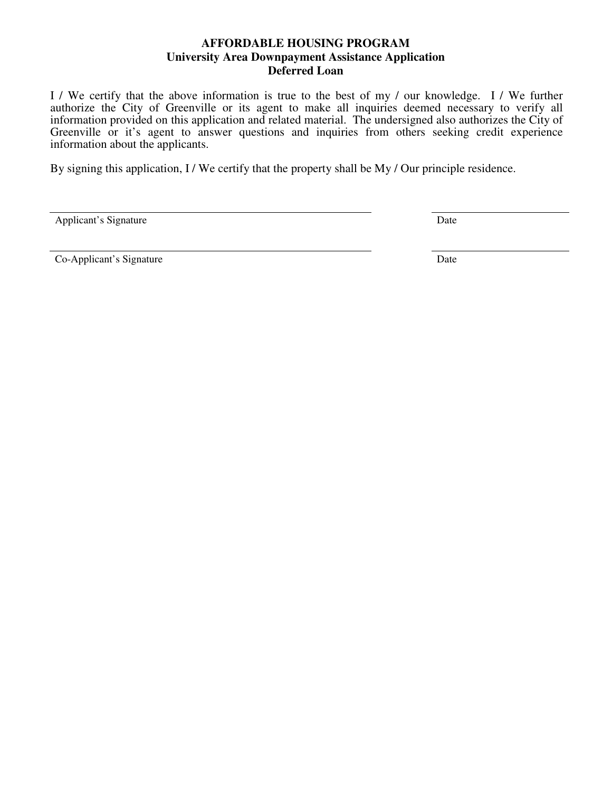#### **AFFORDABLE HOUSING PROGRAM University Area Downpayment Assistance Application Deferred Loan**

I / We certify that the above information is true to the best of my / our knowledge. I / We further authorize the City of Greenville or its agent to make all inquiries deemed necessary to verify all information provided on this application and related material. The undersigned also authorizes the City of Greenville or it's agent to answer questions and inquiries from others seeking credit experience information about the applicants.

By signing this application, I / We certify that the property shall be My / Our principle residence.

Applicant's Signature Date

Co-Applicant's Signature Date